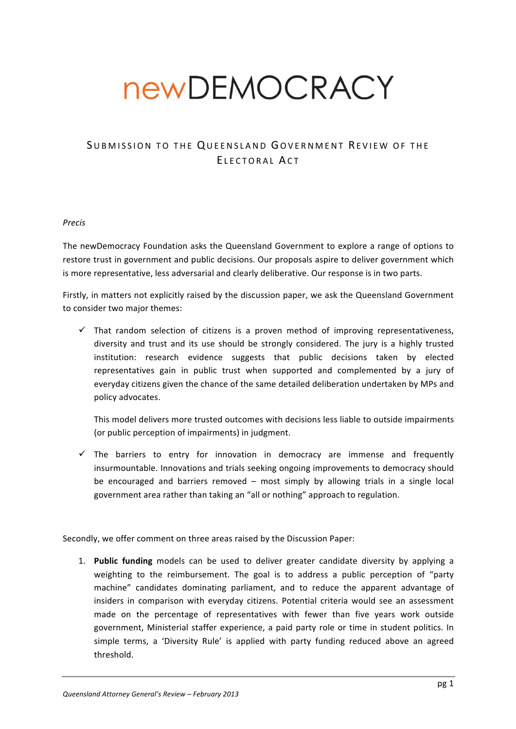# newDEMOCRACY

# SUBMISSION TO THE QUEENSLAND GOVERNMENT REVIEW OF THE ELECTORAL ACT

## *Precis*

The newDemocracy Foundation asks the Queensland Government to explore a range of options to restore trust in government and public decisions. Our proposals aspire to deliver government which is more representative, less adversarial and clearly deliberative. Our response is in two parts.

Firstly, in matters not explicitly raised by the discussion paper, we ask the Queensland Government to consider two major themes:

 $\checkmark$  That random selection of citizens is a proven method of improving representativeness, diversity and trust and its use should be strongly considered. The jury is a highly trusted institution: research evidence suggests that public decisions taken by elected representatives gain in public trust when supported and complemented by a jury of everyday citizens given the chance of the same detailed deliberation undertaken by MPs and policy advocates.

This model delivers more trusted outcomes with decisions less liable to outside impairments (or public perception of impairments) in judgment.

 $\checkmark$  The barriers to entry for innovation in democracy are immense and frequently insurmountable. Innovations and trials seeking ongoing improvements to democracy should be encouraged and barriers removed  $-$  most simply by allowing trials in a single local government area rather than taking an "all or nothing" approach to regulation.

Secondly, we offer comment on three areas raised by the Discussion Paper:

1. **Public funding** models can be used to deliver greater candidate diversity by applying a weighting to the reimbursement. The goal is to address a public perception of "party machine" candidates dominating parliament, and to reduce the apparent advantage of insiders in comparison with everyday citizens. Potential criteria would see an assessment made on the percentage of representatives with fewer than five years work outside government, Ministerial staffer experience, a paid party role or time in student politics. In simple terms, a 'Diversity Rule' is applied with party funding reduced above an agreed threshold.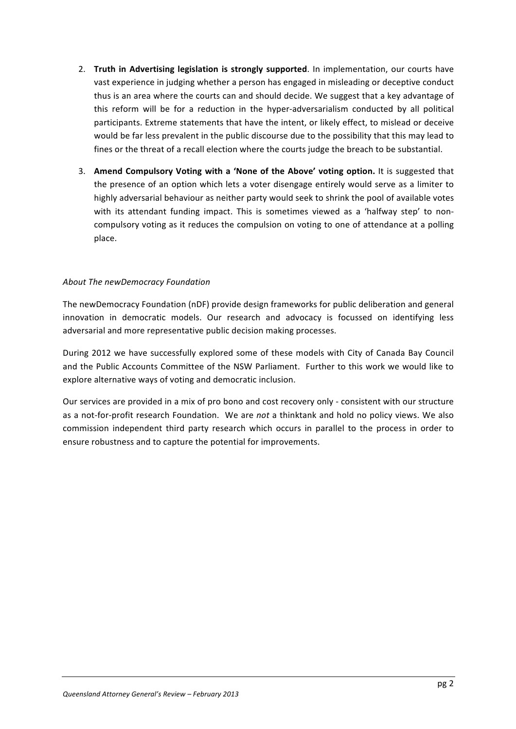- 2. Truth in Advertising legislation is strongly supported. In implementation, our courts have vast experience in judging whether a person has engaged in misleading or deceptive conduct thus is an area where the courts can and should decide. We suggest that a key advantage of this reform will be for a reduction in the hyper-adversarialism conducted by all political participants. Extreme statements that have the intent, or likely effect, to mislead or deceive would be far less prevalent in the public discourse due to the possibility that this may lead to fines or the threat of a recall election where the courts judge the breach to be substantial.
- 3. Amend Compulsory Voting with a 'None of the Above' voting option. It is suggested that the presence of an option which lets a voter disengage entirely would serve as a limiter to highly adversarial behaviour as neither party would seek to shrink the pool of available votes with its attendant funding impact. This is sometimes viewed as a 'halfway step' to noncompulsory voting as it reduces the compulsion on voting to one of attendance at a polling place.

## **About The newDemocracy Foundation**

The newDemocracy Foundation (nDF) provide design frameworks for public deliberation and general innovation in democratic models. Our research and advocacy is focussed on identifying less adversarial and more representative public decision making processes.

During 2012 we have successfully explored some of these models with City of Canada Bay Council and the Public Accounts Committee of the NSW Parliament. Further to this work we would like to explore alternative ways of voting and democratic inclusion.

Our services are provided in a mix of pro bono and cost recovery only - consistent with our structure as a not-for-profit research Foundation. We are *not* a thinktank and hold no policy views. We also commission independent third party research which occurs in parallel to the process in order to ensure robustness and to capture the potential for improvements.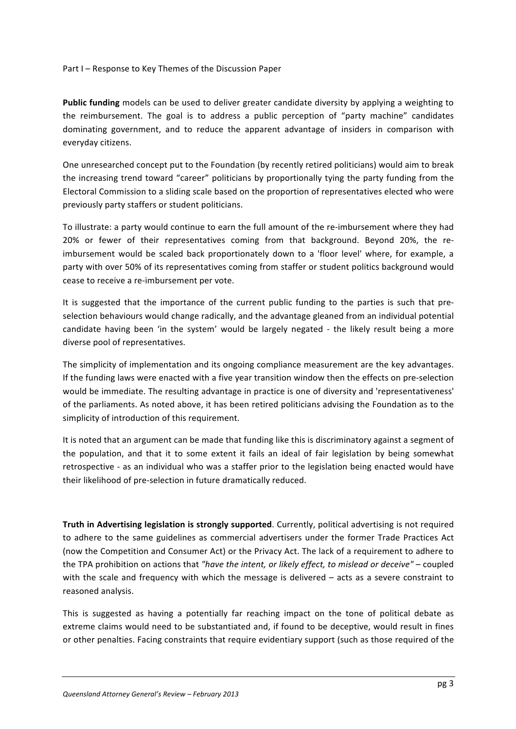Part I – Response to Key Themes of the Discussion Paper

**Public funding** models can be used to deliver greater candidate diversity by applying a weighting to the reimbursement. The goal is to address a public perception of "party machine" candidates dominating government, and to reduce the apparent advantage of insiders in comparison with everyday citizens. 

One unresearched concept put to the Foundation (by recently retired politicians) would aim to break the increasing trend toward "career" politicians by proportionally tying the party funding from the Electoral Commission to a sliding scale based on the proportion of representatives elected who were previously party staffers or student politicians.

To illustrate: a party would continue to earn the full amount of the re-imbursement where they had 20% or fewer of their representatives coming from that background. Beyond 20%, the reimbursement would be scaled back proportionately down to a 'floor level' where, for example, a party with over 50% of its representatives coming from staffer or student politics background would cease to receive a re-imbursement per vote.

It is suggested that the importance of the current public funding to the parties is such that preselection behaviours would change radically, and the advantage gleaned from an individual potential candidate having been 'in the system' would be largely negated - the likely result being a more diverse pool of representatives.

The simplicity of implementation and its ongoing compliance measurement are the key advantages. If the funding laws were enacted with a five year transition window then the effects on pre-selection would be immediate. The resulting advantage in practice is one of diversity and 'representativeness' of the parliaments. As noted above, it has been retired politicians advising the Foundation as to the simplicity of introduction of this requirement.

It is noted that an argument can be made that funding like this is discriminatory against a segment of the population, and that it to some extent it fails an ideal of fair legislation by being somewhat retrospective - as an individual who was a staffer prior to the legislation being enacted would have their likelihood of pre-selection in future dramatically reduced.

**Truth in Advertising legislation is strongly supported.** Currently, political advertising is not required to adhere to the same guidelines as commercial advertisers under the former Trade Practices Act (now the Competition and Consumer Act) or the Privacy Act. The lack of a requirement to adhere to the TPA prohibition on actions that "have the intent, or likely effect, to mislead or deceive" – coupled with the scale and frequency with which the message is delivered  $-$  acts as a severe constraint to reasoned analysis.

This is suggested as having a potentially far reaching impact on the tone of political debate as extreme claims would need to be substantiated and, if found to be deceptive, would result in fines or other penalties. Facing constraints that require evidentiary support (such as those required of the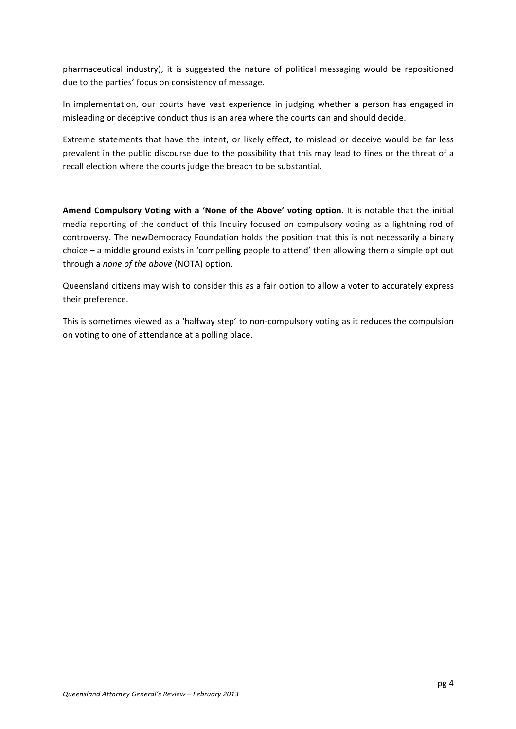pharmaceutical industry), it is suggested the nature of political messaging would be repositioned due to the parties' focus on consistency of message.

In implementation, our courts have vast experience in judging whether a person has engaged in misleading or deceptive conduct thus is an area where the courts can and should decide.

Extreme statements that have the intent, or likely effect, to mislead or deceive would be far less prevalent in the public discourse due to the possibility that this may lead to fines or the threat of a recall election where the courts judge the breach to be substantial.

Amend Compulsory Voting with a 'None of the Above' voting option. It is notable that the initial media reporting of the conduct of this Inquiry focused on compulsory voting as a lightning rod of controversy. The newDemocracy Foundation holds the position that this is not necessarily a binary choice  $-$  a middle ground exists in 'compelling people to attend' then allowing them a simple opt out through a *none of the above* (NOTA) option.

Queensland citizens may wish to consider this as a fair option to allow a voter to accurately express their preference.

This is sometimes viewed as a 'halfway step' to non-compulsory voting as it reduces the compulsion on voting to one of attendance at a polling place.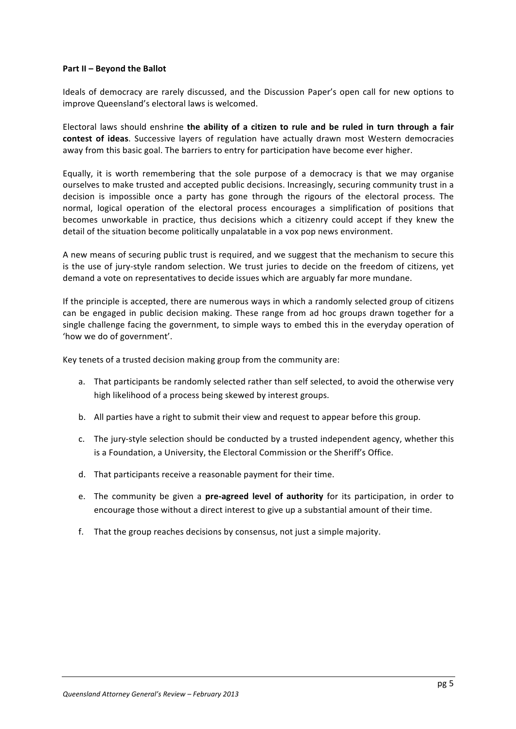#### **Part II – Beyond the Ballot**

Ideals of democracy are rarely discussed, and the Discussion Paper's open call for new options to improve Queensland's electoral laws is welcomed.

Electoral laws should enshrine the ability of a citizen to rule and be ruled in turn through a fair **contest of ideas**. Successive layers of regulation have actually drawn most Western democracies away from this basic goal. The barriers to entry for participation have become ever higher.

Equally, it is worth remembering that the sole purpose of a democracy is that we may organise ourselves to make trusted and accepted public decisions. Increasingly, securing community trust in a decision is impossible once a party has gone through the rigours of the electoral process. The normal, logical operation of the electoral process encourages a simplification of positions that becomes unworkable in practice, thus decisions which a citizenry could accept if they knew the detail of the situation become politically unpalatable in a vox pop news environment.

A new means of securing public trust is required, and we suggest that the mechanism to secure this is the use of jury-style random selection. We trust juries to decide on the freedom of citizens, yet demand a vote on representatives to decide issues which are arguably far more mundane.

If the principle is accepted, there are numerous ways in which a randomly selected group of citizens can be engaged in public decision making. These range from ad hoc groups drawn together for a single challenge facing the government, to simple ways to embed this in the everyday operation of 'how we do of government'.

Key tenets of a trusted decision making group from the community are:

- a. That participants be randomly selected rather than self selected, to avoid the otherwise very high likelihood of a process being skewed by interest groups.
- b. All parties have a right to submit their view and request to appear before this group.
- c. The jury-style selection should be conducted by a trusted independent agency, whether this is a Foundation, a University, the Electoral Commission or the Sheriff's Office.
- d. That participants receive a reasonable payment for their time.
- e. The community be given a **pre-agreed level of authority** for its participation, in order to encourage those without a direct interest to give up a substantial amount of their time.
- f. That the group reaches decisions by consensus, not just a simple majority.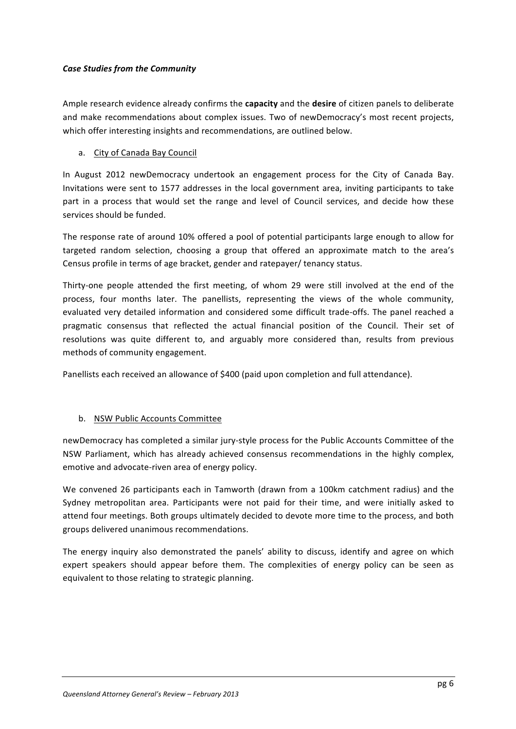# *Case Studies from the Community*

Ample research evidence already confirms the **capacity** and the **desire** of citizen panels to deliberate and make recommendations about complex issues. Two of newDemocracy's most recent projects, which offer interesting insights and recommendations, are outlined below.

# a. City of Canada Bay Council

In August 2012 newDemocracy undertook an engagement process for the City of Canada Bay. Invitations were sent to 1577 addresses in the local government area, inviting participants to take part in a process that would set the range and level of Council services, and decide how these services should be funded.

The response rate of around 10% offered a pool of potential participants large enough to allow for targeted random selection, choosing a group that offered an approximate match to the area's Census profile in terms of age bracket, gender and ratepayer/ tenancy status.

Thirty-one people attended the first meeting, of whom 29 were still involved at the end of the process, four months later. The panellists, representing the views of the whole community, evaluated very detailed information and considered some difficult trade-offs. The panel reached a pragmatic consensus that reflected the actual financial position of the Council. Their set of resolutions was quite different to, and arguably more considered than, results from previous methods of community engagement.

Panellists each received an allowance of \$400 (paid upon completion and full attendance).

# b. NSW Public Accounts Committee

newDemocracy has completed a similar jury-style process for the Public Accounts Committee of the NSW Parliament, which has already achieved consensus recommendations in the highly complex, emotive and advocate-riven area of energy policy.

We convened 26 participants each in Tamworth (drawn from a 100km catchment radius) and the Sydney metropolitan area. Participants were not paid for their time, and were initially asked to attend four meetings. Both groups ultimately decided to devote more time to the process, and both groups delivered unanimous recommendations.

The energy inquiry also demonstrated the panels' ability to discuss, identify and agree on which expert speakers should appear before them. The complexities of energy policy can be seen as equivalent to those relating to strategic planning.